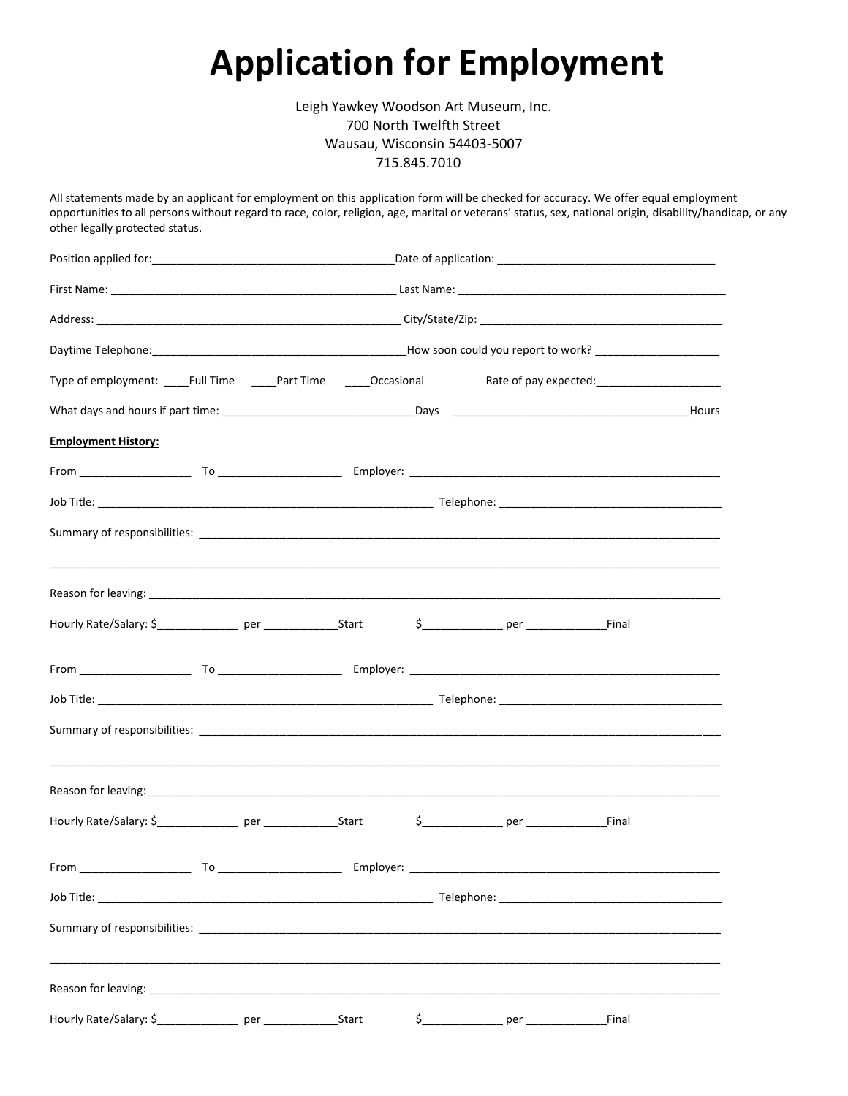## **Application for Employment**

Leigh Yawkey Woodson Art Museum, Inc. 700 North Twelfth Street Wausau, Wisconsin 54403-5007 715.845.7010

All statements made by an applicant for employment on this application form will be checked for accuracy. We offer equal employment opportunities to all persons without regard to race, color, religion, age, marital or veterans' status, sex, national origin, disability/handicap, or any other legally protected status.

| Type of employment: _____Full Time ______Part Time _______Occasional                                                                                                                                                                   |  |  |       |  |                                        |       |  |  |
|----------------------------------------------------------------------------------------------------------------------------------------------------------------------------------------------------------------------------------------|--|--|-------|--|----------------------------------------|-------|--|--|
|                                                                                                                                                                                                                                        |  |  |       |  |                                        |       |  |  |
| <b>Employment History:</b>                                                                                                                                                                                                             |  |  |       |  |                                        |       |  |  |
|                                                                                                                                                                                                                                        |  |  |       |  |                                        |       |  |  |
|                                                                                                                                                                                                                                        |  |  |       |  |                                        |       |  |  |
|                                                                                                                                                                                                                                        |  |  |       |  |                                        |       |  |  |
|                                                                                                                                                                                                                                        |  |  |       |  |                                        |       |  |  |
|                                                                                                                                                                                                                                        |  |  |       |  | $$$ Final                              |       |  |  |
|                                                                                                                                                                                                                                        |  |  |       |  |                                        |       |  |  |
|                                                                                                                                                                                                                                        |  |  |       |  |                                        |       |  |  |
|                                                                                                                                                                                                                                        |  |  |       |  |                                        |       |  |  |
|                                                                                                                                                                                                                                        |  |  |       |  |                                        |       |  |  |
|                                                                                                                                                                                                                                        |  |  |       |  | \$    Per Final                        |       |  |  |
| From<br>in the contract of the contract of the contract of the contract of the contract of the contract of the contract of the contract of the contract of the contract of the contract of the contract of the contract of the contrac |  |  |       |  |                                        |       |  |  |
|                                                                                                                                                                                                                                        |  |  |       |  |                                        |       |  |  |
| Summary of responsibilities: Summary of responsibilities:                                                                                                                                                                              |  |  |       |  |                                        |       |  |  |
|                                                                                                                                                                                                                                        |  |  |       |  |                                        |       |  |  |
| Hourly Rate/Salary: \$__________________ per ______________                                                                                                                                                                            |  |  | Start |  | \$__________________ per _____________ | Final |  |  |